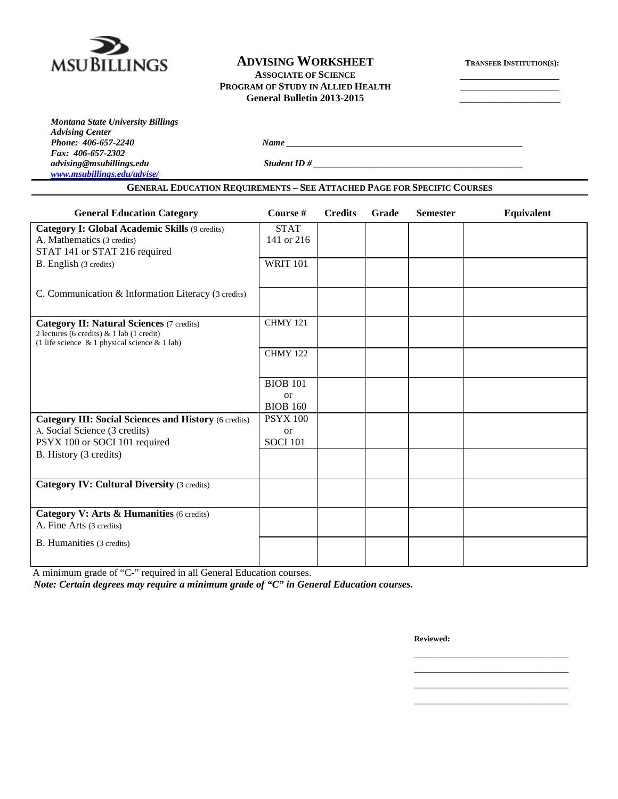

### **ADVISING WORKSHEET TRANSFER INSTITUTION(S): ASSOCIATE OF SCIENCE PROGRAM OF STUDY IN ALLIED HEALTH General Bulletin 2013-2015 \_\_\_\_\_\_\_\_\_\_\_\_\_\_\_\_\_\_\_\_**

*Advising Center Fax: 406-657-2302 [www.msubillings.edu/advise/](http://www.msubillings.edu/advise/)*

*Montana State University Billings*

*Phone: 406-657-2240 Name \_\_\_\_\_\_\_\_\_\_\_\_\_\_\_\_\_\_\_\_\_\_\_\_\_\_\_\_\_\_\_\_\_\_\_\_\_\_\_\_\_\_\_\_\_\_\_\_\_\_\_\_*

*advising@msubillings.edu Student ID # \_\_\_\_\_\_\_\_\_\_\_\_\_\_\_\_\_\_\_\_\_\_\_\_\_\_\_\_\_\_\_\_\_\_\_\_\_\_\_\_\_\_\_\_\_\_*

**GENERAL EDUCATION REQUIREMENTS – SEE ATTACHED PAGE FOR SPECIFIC COURSES**

| <b>General Education Category</b>                                                                                                                    | Course #                     | <b>Credits</b> | Grade | <b>Semester</b> | Equivalent |
|------------------------------------------------------------------------------------------------------------------------------------------------------|------------------------------|----------------|-------|-----------------|------------|
| Category I: Global Academic Skills (9 credits)                                                                                                       | <b>STAT</b>                  |                |       |                 |            |
| A. Mathematics (3 credits)                                                                                                                           | 141 or 216                   |                |       |                 |            |
| STAT 141 or STAT 216 required                                                                                                                        |                              |                |       |                 |            |
| B. English (3 credits)                                                                                                                               | <b>WRIT 101</b>              |                |       |                 |            |
| C. Communication & Information Literacy (3 credits)                                                                                                  |                              |                |       |                 |            |
| <b>Category II: Natural Sciences (7 credits)</b><br>2 lectures (6 credits) & 1 lab (1 credit)<br>(1 life science $\&$ 1 physical science $\&$ 1 lab) | <b>CHMY 121</b>              |                |       |                 |            |
|                                                                                                                                                      | <b>CHMY 122</b>              |                |       |                 |            |
|                                                                                                                                                      | <b>BIOB 101</b>              |                |       |                 |            |
|                                                                                                                                                      | <b>or</b><br><b>BIOB 160</b> |                |       |                 |            |
| <b>Category III: Social Sciences and History (6 credits)</b>                                                                                         | <b>PSYX 100</b>              |                |       |                 |            |
| A. Social Science (3 credits)                                                                                                                        | <b>or</b>                    |                |       |                 |            |
| PSYX 100 or SOCI 101 required                                                                                                                        | <b>SOCI 101</b>              |                |       |                 |            |
| B. History (3 credits)                                                                                                                               |                              |                |       |                 |            |
| <b>Category IV: Cultural Diversity (3 credits)</b>                                                                                                   |                              |                |       |                 |            |
|                                                                                                                                                      |                              |                |       |                 |            |
| Category V: Arts & Humanities (6 credits)                                                                                                            |                              |                |       |                 |            |
| A. Fine Arts (3 credits)                                                                                                                             |                              |                |       |                 |            |
| B. Humanities (3 credits)                                                                                                                            |                              |                |       |                 |            |
|                                                                                                                                                      |                              |                |       |                 |            |

A minimum grade of "C-" required in all General Education courses.

*Note: Certain degrees may require a minimum grade of "C" in General Education courses.*

**Reviewed:**

\_\_\_\_\_\_\_\_\_\_\_\_\_\_\_\_\_\_\_\_\_\_\_\_\_\_\_\_\_\_\_\_\_\_ \_\_\_\_\_\_\_\_\_\_\_\_\_\_\_\_\_\_\_\_\_\_\_\_\_\_\_\_\_\_\_\_\_\_

\_\_\_\_\_\_\_\_\_\_\_\_\_\_\_\_\_\_\_\_\_\_\_\_\_\_\_\_\_\_\_\_\_\_

\_\_\_\_\_\_\_\_\_\_\_\_\_\_\_\_\_\_\_\_\_\_\_\_\_\_\_\_\_\_\_\_\_\_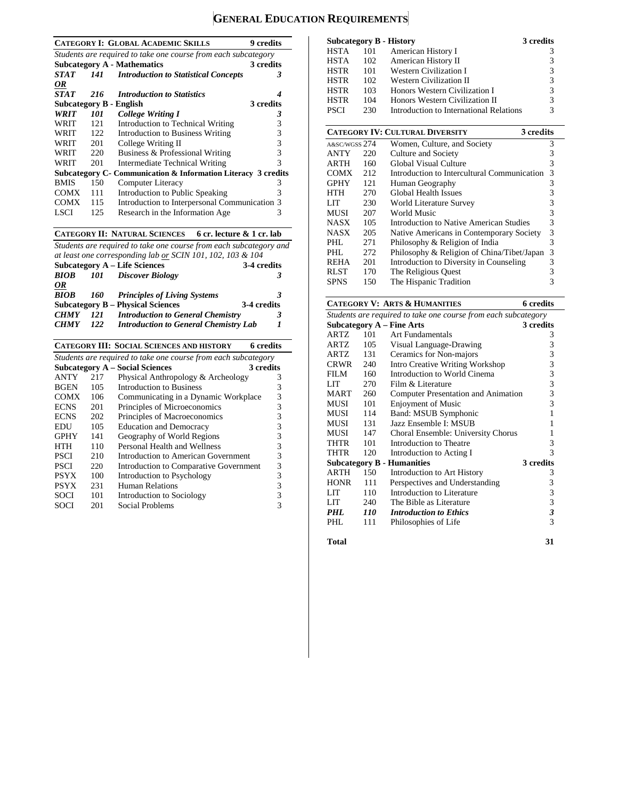# **GENERAL EDUCATION REQUIREMENTS**

|             |                  | <b>CATEGORY I: GLOBAL ACADEMIC SKILLS</b>                      | <b>9</b> credits |
|-------------|------------------|----------------------------------------------------------------|------------------|
|             |                  | Students are required to take one course from each subcategory |                  |
|             |                  | <b>Subcategory A - Mathematics</b>                             | 3 credits        |
| STAT        | 141 <b>First</b> | <b>Introduction to Statistical Concepts</b>                    | 3                |
| OR          |                  |                                                                |                  |
| <b>STAT</b> | 216              | <b>Introduction to Statistics</b>                              |                  |
|             |                  | Subcategory B - English                                        | 3 credits        |
| <b>WRIT</b> | 101              | <b>College Writing I</b>                                       | 3                |
| WRIT        | 121              | Introduction to Technical Writing                              | 3                |
| WRIT        | 122              | <b>Introduction to Business Writing</b>                        | 3                |
| WRIT        | 201              | College Writing II                                             | 3                |
| WRIT        | 220              | Business & Professional Writing                                | 3                |
| WRIT        | 201              | Intermediate Technical Writing                                 | 3                |
|             |                  | Subcategory C- Communication & Information Literacy 3 credits  |                  |
| <b>BMIS</b> | 150              | <b>Computer Literacy</b>                                       | 3                |
| <b>COMX</b> | 111              | Introduction to Public Speaking                                | 3                |
| COMX        | 115              | Introduction to Interpersonal Communication 3                  |                  |
| LSCI        | 125              | Research in the Information Age                                | 3                |

#### **CATEGORY II: NATURAL SCIENCES 6 cr. lecture & 1 cr. lab**

*Students are required to take one course from each subcategory and at least one corresponding lab or SCIN 101, 102, 103 & 104* **Subcategory A – Life Sciences**<br>**BIOB** 101 Discover Biolo *BIOB 101 Discover Biology 3 OR BIOB 160 Principles of Living Systems 3* **Subcategory B – Physical Sciences** 3-4 credits<br> *CHMY* 121 Introduction to General Chemistry 3 *CHMY 121 Introduction to General Chemistry 3 CHMY 122 Introduction to General Chemistry Lab 1*

|                                                                |                                     | 6 credits                                                                                                                                                                    |  |  |  |  |
|----------------------------------------------------------------|-------------------------------------|------------------------------------------------------------------------------------------------------------------------------------------------------------------------------|--|--|--|--|
| Students are required to take one course from each subcategory |                                     |                                                                                                                                                                              |  |  |  |  |
|                                                                |                                     | 3 credits                                                                                                                                                                    |  |  |  |  |
| 217                                                            | Physical Anthropology & Archeology  | 3                                                                                                                                                                            |  |  |  |  |
| 105                                                            | Introduction to Business            | 3                                                                                                                                                                            |  |  |  |  |
| 106                                                            |                                     | 3                                                                                                                                                                            |  |  |  |  |
| 201                                                            | Principles of Microeconomics        | 3                                                                                                                                                                            |  |  |  |  |
| 202                                                            | Principles of Macroeconomics        | 3                                                                                                                                                                            |  |  |  |  |
| 105                                                            | <b>Education and Democracy</b>      | 3                                                                                                                                                                            |  |  |  |  |
| 141                                                            | Geography of World Regions          | 3                                                                                                                                                                            |  |  |  |  |
| 110                                                            | Personal Health and Wellness        | 3                                                                                                                                                                            |  |  |  |  |
| 210                                                            | Introduction to American Government | 3                                                                                                                                                                            |  |  |  |  |
| 220                                                            |                                     | 3                                                                                                                                                                            |  |  |  |  |
| 100                                                            | Introduction to Psychology          | 3                                                                                                                                                                            |  |  |  |  |
| 231                                                            | <b>Human Relations</b>              | 3                                                                                                                                                                            |  |  |  |  |
| 101                                                            | Introduction to Sociology           |                                                                                                                                                                              |  |  |  |  |
| 201                                                            | Social Problems                     |                                                                                                                                                                              |  |  |  |  |
|                                                                |                                     | <b>CATEGORY III: SOCIAL SCIENCES AND HISTORY</b><br><b>Subcategory A – Social Sciences</b><br>Communicating in a Dynamic Workplace<br>Introduction to Comparative Government |  |  |  |  |

| <b>Subcategory B - History</b> |     |                                         | 3 credits |
|--------------------------------|-----|-----------------------------------------|-----------|
| <b>HSTA</b>                    | 101 | American History I                      |           |
| <b>HSTA</b>                    | 102 | American History II                     | 3         |
| <b>HSTR</b>                    | 101 | <b>Western Civilization I</b>           | 3         |
| <b>HSTR</b>                    | 102 | Western Civilization II                 | 3         |
| <b>HSTR</b>                    | 103 | Honors Western Civilization I           | 3         |
| <b>HSTR</b>                    | 104 | Honors Western Civilization II          | 3         |
| <b>PSCI</b>                    | 230 | Introduction to International Relations | 3         |

|               |     | <b>CATEGORY IV: CULTURAL DIVERSITY</b><br>3 credits |   |
|---------------|-----|-----------------------------------------------------|---|
| A&SC/WGSS 274 |     | Women, Culture, and Society                         | 3 |
| <b>ANTY</b>   | 220 | Culture and Society                                 | 3 |
| <b>ARTH</b>   | 160 | Global Visual Culture                               | 3 |
| <b>COMX</b>   | 212 | Introduction to Intercultural Communication         | 3 |
| <b>GPHY</b>   | 121 | Human Geography                                     | 3 |
| HTH           | 270 | Global Health Issues                                | 3 |
| LIT           | 230 | World Literature Survey                             | 3 |
| <b>MUSI</b>   | 207 | World Music                                         | 3 |
| <b>NASX</b>   | 105 | Introduction to Native American Studies             | 3 |
| <b>NASX</b>   | 205 | Native Americans in Contemporary Society            | 3 |
| PHL           | 271 | Philosophy & Religion of India                      | 3 |
| PHL           | 272 | Philosophy & Religion of China/Tibet/Japan          | 3 |
| <b>REHA</b>   | 201 | Introduction to Diversity in Counseling             | 3 |
| <b>RLST</b>   | 170 | The Religious Quest                                 | 3 |
| <b>SPNS</b>   | 150 | The Hispanic Tradition                              | 3 |

#### **CATEGORY V: ARTS & HUMANITIES 6 credits**

|             | Students are required to take one course from each subcategory |                                            |           |  |  |  |
|-------------|----------------------------------------------------------------|--------------------------------------------|-----------|--|--|--|
|             |                                                                | Subcategory $A$ – Fine Arts                | 3 credits |  |  |  |
| ARTZ        | 101                                                            | Art Fundamentals                           | 3         |  |  |  |
| ARTZ        | 105                                                            | Visual Language-Drawing                    | 3         |  |  |  |
| ARTZ        | 131                                                            | Ceramics for Non-majors                    | 3         |  |  |  |
| <b>CRWR</b> | 240                                                            | Intro Creative Writing Workshop            | 3         |  |  |  |
| <b>FILM</b> | 160                                                            | Introduction to World Cinema               | 3         |  |  |  |
| LIT         | 270                                                            | Film & Literature                          | 3         |  |  |  |
| <b>MART</b> | 260                                                            | <b>Computer Presentation and Animation</b> | 3         |  |  |  |
| MUSI        | 101                                                            | <b>Enjoyment of Music</b>                  | 3         |  |  |  |
| MUSI        | 114                                                            | Band: MSUB Symphonic                       |           |  |  |  |
| MUSI        | 131                                                            | Jazz Ensemble I: MSUB                      | 1         |  |  |  |
| MUSI        | 147                                                            | Choral Ensemble: University Chorus         |           |  |  |  |
| THTR        | 101                                                            | Introduction to Theatre                    | 3         |  |  |  |
| THTR        | 120                                                            | Introduction to Acting I                   | 3         |  |  |  |
|             |                                                                | <b>Subcategory B - Humanities</b>          | 3 credits |  |  |  |
| <b>ARTH</b> | 150                                                            | Introduction to Art History                | 3         |  |  |  |
| <b>HONR</b> | 111                                                            | Perspectives and Understanding             | 3         |  |  |  |
| LIT         | 110                                                            | Introduction to Literature                 | 3         |  |  |  |
| LIT         | 240                                                            | The Bible as Literature                    | 3         |  |  |  |
| PHL         | 110                                                            | <b>Introduction to Ethics</b>              | 3         |  |  |  |
| PHI.        | 111                                                            | Philosophies of Life                       | 3         |  |  |  |
|             |                                                                |                                            |           |  |  |  |

**Total 31**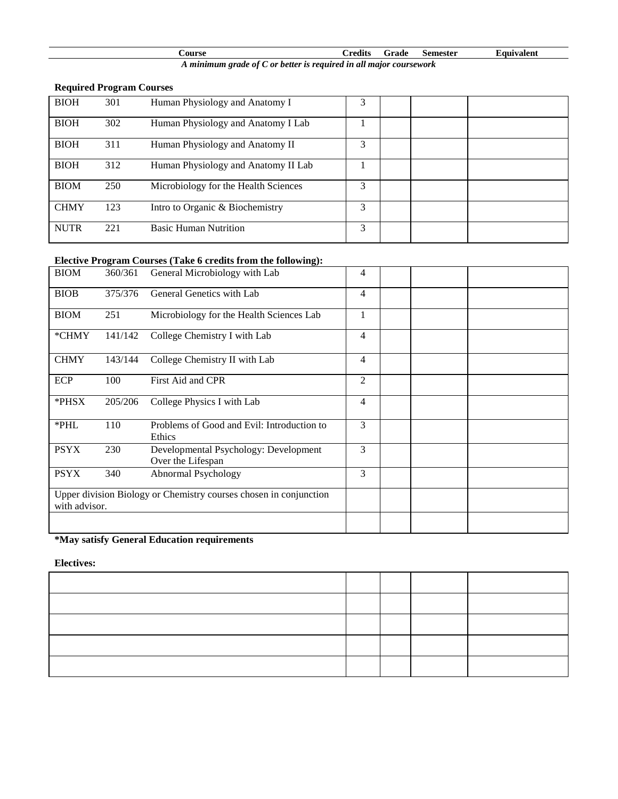| ourse                                                              | $-$ rodit $\sim$ | rade | semester | Equivalent |
|--------------------------------------------------------------------|------------------|------|----------|------------|
| minimum grade of $C$ or hetter is required in all major coursework |                  |      |          |            |

#### *A minimum grade of C or better is required in all major coursework*

# **Required Program Courses**

| <b>BIOH</b> | 301 | Human Physiology and Anatomy I       | 3 |  |  |
|-------------|-----|--------------------------------------|---|--|--|
| <b>BIOH</b> | 302 | Human Physiology and Anatomy I Lab   |   |  |  |
| <b>BIOH</b> | 311 | Human Physiology and Anatomy II      | 3 |  |  |
| <b>BIOH</b> | 312 | Human Physiology and Anatomy II Lab  |   |  |  |
| <b>BIOM</b> | 250 | Microbiology for the Health Sciences | 3 |  |  |
| <b>CHMY</b> | 123 | Intro to Organic & Biochemistry      | 3 |  |  |
| <b>NUTR</b> | 221 | <b>Basic Human Nutrition</b>         | 3 |  |  |

## **Elective Program Courses (Take 6 credits from the following):**

| <b>BIOM</b>   | 360/361 | General Microbiology with Lab                                     | $\overline{4}$ |  |  |
|---------------|---------|-------------------------------------------------------------------|----------------|--|--|
| <b>BIOB</b>   | 375/376 | General Genetics with Lab                                         | $\overline{4}$ |  |  |
| <b>BIOM</b>   | 251     | Microbiology for the Health Sciences Lab                          | $\mathbf{1}$   |  |  |
| *CHMY         | 141/142 | College Chemistry I with Lab                                      | $\overline{4}$ |  |  |
| <b>CHMY</b>   | 143/144 | College Chemistry II with Lab                                     | $\overline{4}$ |  |  |
| <b>ECP</b>    | 100     | First Aid and CPR                                                 | $\overline{2}$ |  |  |
| *PHSX         | 205/206 | College Physics I with Lab                                        | $\overline{4}$ |  |  |
| *PHL          | 110     | Problems of Good and Evil: Introduction to<br>Ethics              | 3              |  |  |
| <b>PSYX</b>   | 230     | Developmental Psychology: Development<br>Over the Lifespan        | 3              |  |  |
| <b>PSYX</b>   | 340     | Abnormal Psychology                                               | 3              |  |  |
| with advisor. |         | Upper division Biology or Chemistry courses chosen in conjunction |                |  |  |
|               |         |                                                                   |                |  |  |

## **\*May satisfy General Education requirements**

### **Electives:**